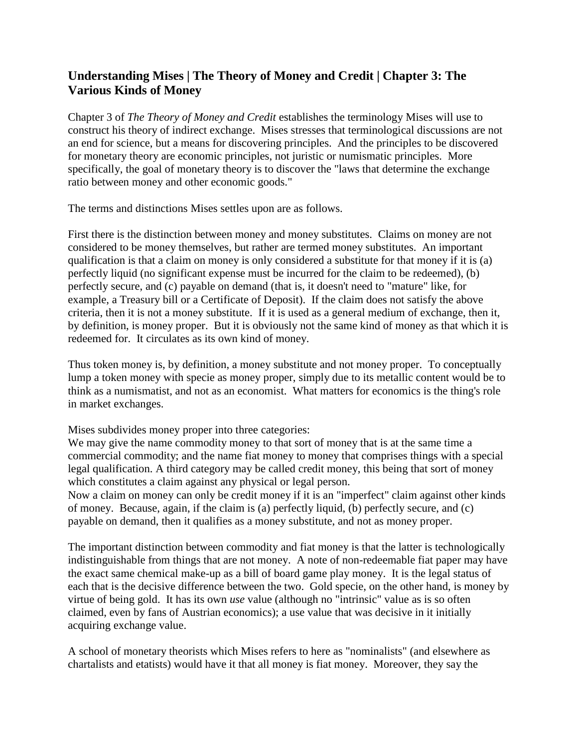## **Understanding Mises | The Theory of Money and Credit | Chapter 3: The Various Kinds of Money**

Chapter 3 of *The Theory of Money and Credit* establishes the terminology Mises will use to construct his theory of indirect exchange. Mises stresses that terminological discussions are not an end for science, but a means for discovering principles. And the principles to be discovered for monetary theory are economic principles, not juristic or numismatic principles. More specifically, the goal of monetary theory is to discover the "laws that determine the exchange ratio between money and other economic goods."

The terms and distinctions Mises settles upon are as follows.

First there is the distinction between money and money substitutes. Claims on money are not considered to be money themselves, but rather are termed money substitutes. An important qualification is that a claim on money is only considered a substitute for that money if it is (a) perfectly liquid (no significant expense must be incurred for the claim to be redeemed), (b) perfectly secure, and (c) payable on demand (that is, it doesn't need to "mature" like, for example, a Treasury bill or a Certificate of Deposit). If the claim does not satisfy the above criteria, then it is not a money substitute. If it is used as a general medium of exchange, then it, by definition, is money proper. But it is obviously not the same kind of money as that which it is redeemed for. It circulates as its own kind of money.

Thus token money is, by definition, a money substitute and not money proper. To conceptually lump a token money with specie as money proper, simply due to its metallic content would be to think as a numismatist, and not as an economist. What matters for economics is the thing's role in market exchanges.

Mises subdivides money proper into three categories:

We may give the name commodity money to that sort of money that is at the same time a commercial commodity; and the name fiat money to money that comprises things with a special legal qualification. A third category may be called credit money, this being that sort of money which constitutes a claim against any physical or legal person.

Now a claim on money can only be credit money if it is an "imperfect" claim against other kinds of money. Because, again, if the claim is (a) perfectly liquid, (b) perfectly secure, and (c) payable on demand, then it qualifies as a money substitute, and not as money proper.

The important distinction between commodity and fiat money is that the latter is technologically indistinguishable from things that are not money. A note of non-redeemable fiat paper may have the exact same chemical make-up as a bill of board game play money. It is the legal status of each that is the decisive difference between the two. Gold specie, on the other hand, is money by virtue of being gold. It has its own *use* value (although no "intrinsic" value as is so often claimed, even by fans of Austrian economics); a use value that was decisive in it initially acquiring exchange value.

A school of monetary theorists which Mises refers to here as "nominalists" (and elsewhere as chartalists and etatists) would have it that all money is fiat money. Moreover, they say the